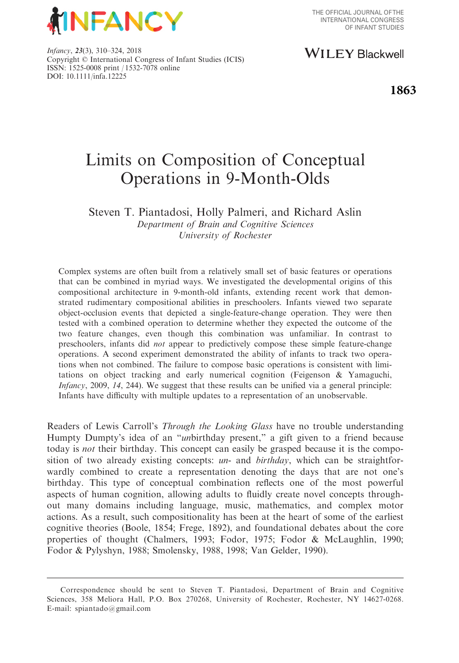

THE OFFICIAL JOURNAL OF THE INTERNATIONAL CONGRESS OF INFANT STUDIES

Infancy, 23(3), 310–324, 2018 Copyright © International Congress of Infant Studies (ICIS) ISSN: 1525-0008 print / 1532-7078 online DOI: 10.1111/infa.12225

**WILEY Blackwell** 

**1863**

# Limits on Composition of Conceptual Operations in 9-Month-Olds

Steven T. Piantadosi, Holly Palmeri, and Richard Aslin

Department of Brain and Cognitive Sciences University of Rochester

Complex systems are often built from a relatively small set of basic features or operations that can be combined in myriad ways. We investigated the developmental origins of this compositional architecture in 9-month-old infants, extending recent work that demonstrated rudimentary compositional abilities in preschoolers. Infants viewed two separate object-occlusion events that depicted a single-feature-change operation. They were then tested with a combined operation to determine whether they expected the outcome of the two feature changes, even though this combination was unfamiliar. In contrast to preschoolers, infants did not appear to predictively compose these simple feature-change operations. A second experiment demonstrated the ability of infants to track two operations when not combined. The failure to compose basic operations is consistent with limitations on object tracking and early numerical cognition (Feigenson & Yamaguchi, Infancy, 2009, 14, 244). We suggest that these results can be unified via a general principle: Infants have difficulty with multiple updates to a representation of an unobservable.

Readers of Lewis Carroll's *Through the Looking Glass* have no trouble understanding Humpty Dumpty's idea of an "unbirthday present," a gift given to a friend because today is not their birthday. This concept can easily be grasped because it is the composition of two already existing concepts:  $un-$  and  $birthday$ , which can be straightforwardly combined to create a representation denoting the days that are not one's birthday. This type of conceptual combination reflects one of the most powerful aspects of human cognition, allowing adults to fluidly create novel concepts throughout many domains including language, music, mathematics, and complex motor actions. As a result, such compositionality has been at the heart of some of the earliest cognitive theories (Boole, 1854; Frege, 1892), and foundational debates about the core properties of thought (Chalmers, 1993; Fodor, 1975; Fodor & McLaughlin, 1990; Fodor & Pylyshyn, 1988; Smolensky, 1988, 1998; Van Gelder, 1990).

Correspondence should be sent to Steven T. Piantadosi, Department of Brain and Cognitive Sciences, 358 Meliora Hall, P.O. Box 270268, University of Rochester, Rochester, NY 14627-0268. E-mail: spiantado@gmail.com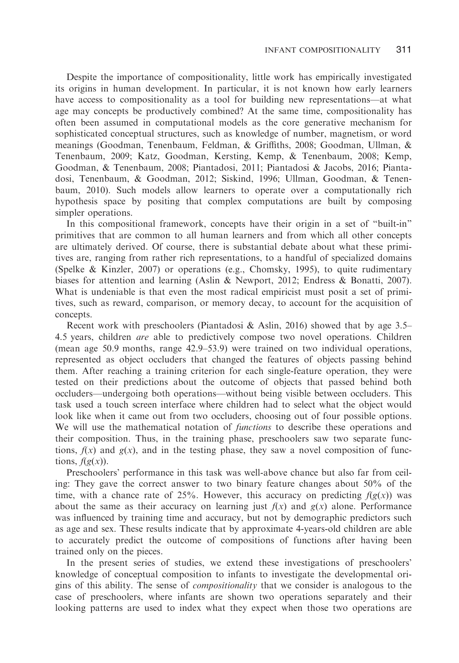Despite the importance of compositionality, little work has empirically investigated its origins in human development. In particular, it is not known how early learners have access to compositionality as a tool for building new representations—at what age may concepts be productively combined? At the same time, compositionality has often been assumed in computational models as the core generative mechanism for sophisticated conceptual structures, such as knowledge of number, magnetism, or word meanings (Goodman, Tenenbaum, Feldman, & Griffiths, 2008; Goodman, Ullman, & Tenenbaum, 2009; Katz, Goodman, Kersting, Kemp, & Tenenbaum, 2008; Kemp, Goodman, & Tenenbaum, 2008; Piantadosi, 2011; Piantadosi & Jacobs, 2016; Piantadosi, Tenenbaum, & Goodman, 2012; Siskind, 1996; Ullman, Goodman, & Tenenbaum, 2010). Such models allow learners to operate over a computationally rich hypothesis space by positing that complex computations are built by composing simpler operations.

In this compositional framework, concepts have their origin in a set of "built-in" primitives that are common to all human learners and from which all other concepts are ultimately derived. Of course, there is substantial debate about what these primitives are, ranging from rather rich representations, to a handful of specialized domains (Spelke & Kinzler, 2007) or operations (e.g., Chomsky, 1995), to quite rudimentary biases for attention and learning (Aslin & Newport, 2012; Endress & Bonatti, 2007). What is undeniable is that even the most radical empiricist must posit a set of primitives, such as reward, comparison, or memory decay, to account for the acquisition of concepts.

Recent work with preschoolers (Piantadosi & Aslin, 2016) showed that by age 3.5– 4.5 years, children *are* able to predictively compose two novel operations. Children (mean age 50.9 months, range 42.9–53.9) were trained on two individual operations, represented as object occluders that changed the features of objects passing behind them. After reaching a training criterion for each single-feature operation, they were tested on their predictions about the outcome of objects that passed behind both occluders—undergoing both operations—without being visible between occluders. This task used a touch screen interface where children had to select what the object would look like when it came out from two occluders, choosing out of four possible options. We will use the mathematical notation of *functions* to describe these operations and their composition. Thus, in the training phase, preschoolers saw two separate functions,  $f(x)$  and  $g(x)$ , and in the testing phase, they saw a novel composition of functions,  $f(g(x))$ .

Preschoolers' performance in this task was well-above chance but also far from ceiling: They gave the correct answer to two binary feature changes about 50% of the time, with a chance rate of 25%. However, this accuracy on predicting  $f(g(x))$  was about the same as their accuracy on learning just  $f(x)$  and  $g(x)$  alone. Performance was influenced by training time and accuracy, but not by demographic predictors such as age and sex. These results indicate that by approximate 4-years-old children are able to accurately predict the outcome of compositions of functions after having been trained only on the pieces.

In the present series of studies, we extend these investigations of preschoolers' knowledge of conceptual composition to infants to investigate the developmental origins of this ability. The sense of *compositionality* that we consider is analogous to the case of preschoolers, where infants are shown two operations separately and their looking patterns are used to index what they expect when those two operations are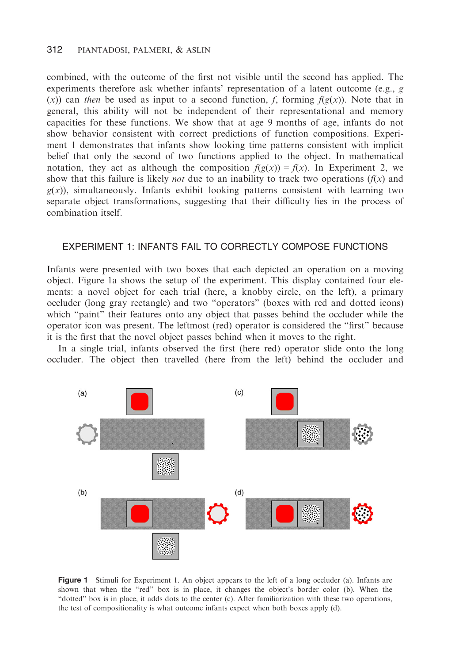combined, with the outcome of the first not visible until the second has applied. The experiments therefore ask whether infants' representation of a latent outcome (e.g., g (x)) can then be used as input to a second function, f, forming  $f(g(x))$ . Note that in general, this ability will not be independent of their representational and memory capacities for these functions. We show that at age 9 months of age, infants do not show behavior consistent with correct predictions of function compositions. Experiment 1 demonstrates that infants show looking time patterns consistent with implicit belief that only the second of two functions applied to the object. In mathematical notation, they act as although the composition  $f(g(x)) = f(x)$ . In Experiment 2, we show that this failure is likely *not* due to an inability to track two operations  $(f(x))$  and  $g(x)$ ), simultaneously. Infants exhibit looking patterns consistent with learning two separate object transformations, suggesting that their difficulty lies in the process of combination itself.

# EXPERIMENT 1: INFANTS FAIL TO CORRECTLY COMPOSE FUNCTIONS

Infants were presented with two boxes that each depicted an operation on a moving object. Figure 1a shows the setup of the experiment. This display contained four elements: a novel object for each trial (here, a knobby circle, on the left), a primary occluder (long gray rectangle) and two "operators" (boxes with red and dotted icons) which "paint" their features onto any object that passes behind the occluder while the operator icon was present. The leftmost (red) operator is considered the "first" because it is the first that the novel object passes behind when it moves to the right.

In a single trial, infants observed the first (here red) operator slide onto the long occluder. The object then travelled (here from the left) behind the occluder and



**Figure 1** Stimuli for Experiment 1. An object appears to the left of a long occluder (a). Infants are shown that when the "red" box is in place, it changes the object's border color (b). When the "dotted" box is in place, it adds dots to the center (c). After familiarization with these two operations, the test of compositionality is what outcome infants expect when both boxes apply (d).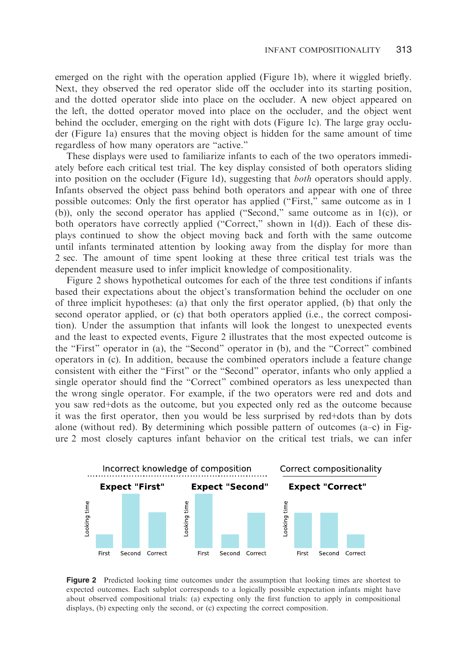emerged on the right with the operation applied (Figure 1b), where it wiggled briefly. Next, they observed the red operator slide off the occluder into its starting position, and the dotted operator slide into place on the occluder. A new object appeared on the left, the dotted operator moved into place on the occluder, and the object went behind the occluder, emerging on the right with dots (Figure 1c). The large gray occluder (Figure 1a) ensures that the moving object is hidden for the same amount of time regardless of how many operators are "active."

These displays were used to familiarize infants to each of the two operators immediately before each critical test trial. The key display consisted of both operators sliding into position on the occluder (Figure 1d), suggesting that both operators should apply. Infants observed the object pass behind both operators and appear with one of three possible outcomes: Only the first operator has applied ("First," same outcome as in 1 (b)), only the second operator has applied ("Second," same outcome as in 1(c)), or both operators have correctly applied ("Correct," shown in  $1(d)$ ). Each of these displays continued to show the object moving back and forth with the same outcome until infants terminated attention by looking away from the display for more than 2 sec. The amount of time spent looking at these three critical test trials was the dependent measure used to infer implicit knowledge of compositionality.

Figure 2 shows hypothetical outcomes for each of the three test conditions if infants based their expectations about the object's transformation behind the occluder on one of three implicit hypotheses: (a) that only the first operator applied, (b) that only the second operator applied, or (c) that both operators applied (i.e., the correct composition). Under the assumption that infants will look the longest to unexpected events and the least to expected events, Figure 2 illustrates that the most expected outcome is the "First" operator in (a), the "Second" operator in (b), and the "Correct" combined operators in (c). In addition, because the combined operators include a feature change consistent with either the "First" or the "Second" operator, infants who only applied a single operator should find the "Correct" combined operators as less unexpected than the wrong single operator. For example, if the two operators were red and dots and you saw red+dots as the outcome, but you expected only red as the outcome because it was the first operator, then you would be less surprised by red+dots than by dots alone (without red). By determining which possible pattern of outcomes  $(a-c)$  in Figure 2 most closely captures infant behavior on the critical test trials, we can infer



Figure 2 Predicted looking time outcomes under the assumption that looking times are shortest to expected outcomes. Each subplot corresponds to a logically possible expectation infants might have about observed compositional trials: (a) expecting only the first function to apply in compositional displays, (b) expecting only the second, or (c) expecting the correct composition.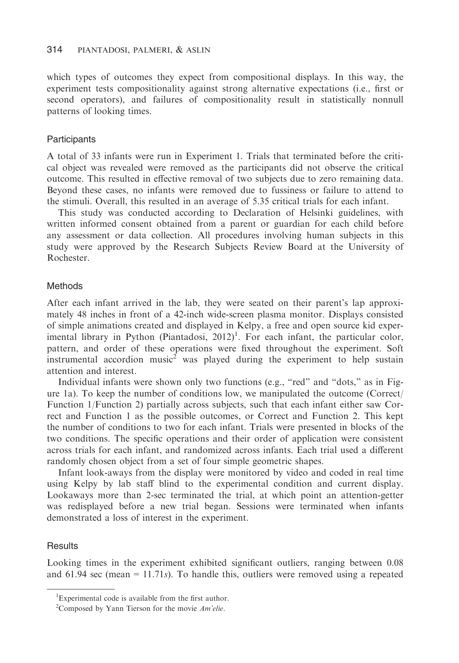which types of outcomes they expect from compositional displays. In this way, the experiment tests compositionality against strong alternative expectations (i.e., first or second operators), and failures of compositionality result in statistically nonnull patterns of looking times.

#### **Participants**

A total of 33 infants were run in Experiment 1. Trials that terminated before the critical object was revealed were removed as the participants did not observe the critical outcome. This resulted in effective removal of two subjects due to zero remaining data. Beyond these cases, no infants were removed due to fussiness or failure to attend to the stimuli. Overall, this resulted in an average of 5.35 critical trials for each infant.

This study was conducted according to Declaration of Helsinki guidelines, with written informed consent obtained from a parent or guardian for each child before any assessment or data collection. All procedures involving human subjects in this study were approved by the Research Subjects Review Board at the University of Rochester.

## **Methods**

After each infant arrived in the lab, they were seated on their parent's lap approximately 48 inches in front of a 42-inch wide-screen plasma monitor. Displays consisted of simple animations created and displayed in Kelpy, a free and open source kid experimental library in Python (Piantadosi,  $2012$ )<sup>1</sup>. For each infant, the particular color, pattern, and order of these operations were fixed throughout the experiment. Soft instrumental accordion music<sup>2</sup> was played during the experiment to help sustain attention and interest.

Individual infants were shown only two functions (e.g., "red" and "dots," as in Figure 1a). To keep the number of conditions low, we manipulated the outcome (Correct/ Function 1/Function 2) partially across subjects, such that each infant either saw Correct and Function 1 as the possible outcomes, or Correct and Function 2. This kept the number of conditions to two for each infant. Trials were presented in blocks of the two conditions. The specific operations and their order of application were consistent across trials for each infant, and randomized across infants. Each trial used a different randomly chosen object from a set of four simple geometric shapes.

Infant look-aways from the display were monitored by video and coded in real time using Kelpy by lab staff blind to the experimental condition and current display. Lookaways more than 2-sec terminated the trial, at which point an attention-getter was redisplayed before a new trial began. Sessions were terminated when infants demonstrated a loss of interest in the experiment.

### **Results**

Looking times in the experiment exhibited significant outliers, ranging between 0.08 and  $61.94$  sec (mean  $= 11.71s$ ). To handle this, outliers were removed using a repeated

<sup>&</sup>lt;sup>1</sup>Experimental code is available from the first author.

<sup>&</sup>lt;sup>2</sup> Composed by Yann Tierson for the movie  $Am'elie$ .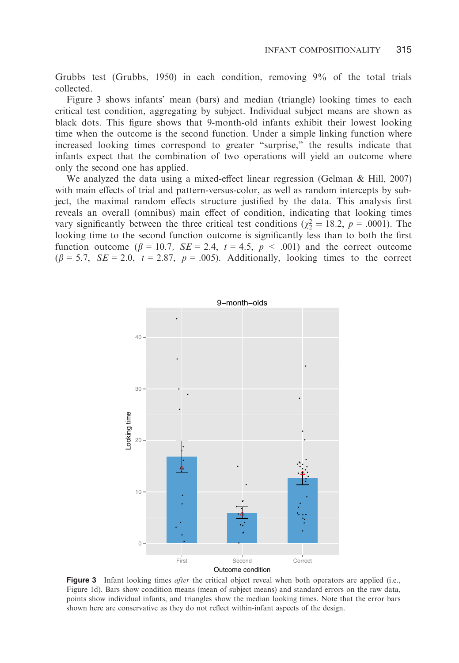Grubbs test (Grubbs, 1950) in each condition, removing 9% of the total trials collected.

Figure 3 shows infants' mean (bars) and median (triangle) looking times to each critical test condition, aggregating by subject. Individual subject means are shown as black dots. This figure shows that 9-month-old infants exhibit their lowest looking time when the outcome is the second function. Under a simple linking function where increased looking times correspond to greater "surprise," the results indicate that infants expect that the combination of two operations will yield an outcome where only the second one has applied.

We analyzed the data using a mixed-effect linear regression (Gelman & Hill, 2007) with main effects of trial and pattern-versus-color, as well as random intercepts by subject, the maximal random effects structure justified by the data. This analysis first reveals an overall (omnibus) main effect of condition, indicating that looking times vary significantly between the three critical test conditions ( $\chi^2$  = 18.2, p = .0001). The looking time to the second function outcome is significantly less than to both the first function outcome ( $\beta$  = 10.7,  $SE = 2.4$ ,  $t = 4.5$ ,  $p < .001$ ) and the correct outcome  $(\beta = 5.7, \, SE = 2.0, \, t = 2.87, \, p = .005)$ . Additionally, looking times to the correct



Figure 3 Infant looking times *after* the critical object reveal when both operators are applied (i.e., Figure 1d). Bars show condition means (mean of subject means) and standard errors on the raw data, points show individual infants, and triangles show the median looking times. Note that the error bars shown here are conservative as they do not reflect within-infant aspects of the design.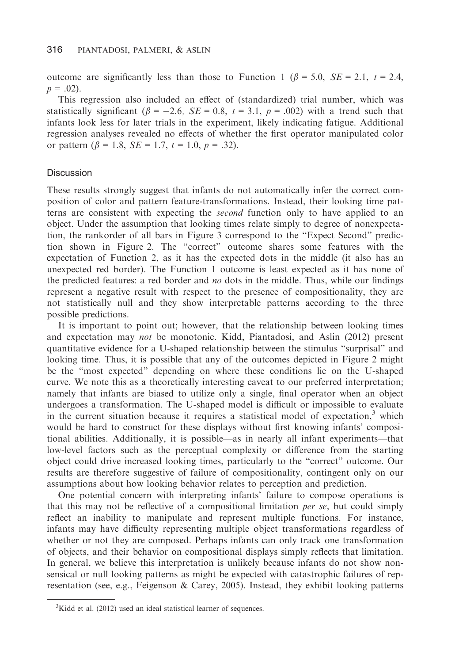outcome are significantly less than those to Function 1 ( $\beta$  = 5.0,  $SE$  = 2.1,  $t$  = 2.4,  $p = .02$ ).

This regression also included an effect of (standardized) trial number, which was statistically significant ( $\beta = -2.6$ ,  $SE = 0.8$ ,  $t = 3.1$ ,  $p = .002$ ) with a trend such that infants look less for later trials in the experiment, likely indicating fatigue. Additional regression analyses revealed no effects of whether the first operator manipulated color or pattern ( $\beta$  = 1.8, *SE* = 1.7,  $t$  = 1.0,  $p$  = .32).

## **Discussion**

These results strongly suggest that infants do not automatically infer the correct composition of color and pattern feature-transformations. Instead, their looking time patterns are consistent with expecting the *second* function only to have applied to an object. Under the assumption that looking times relate simply to degree of nonexpectation, the rankorder of all bars in Figure 3 correspond to the "Expect Second" prediction shown in Figure 2. The "correct" outcome shares some features with the expectation of Function 2, as it has the expected dots in the middle (it also has an unexpected red border). The Function 1 outcome is least expected as it has none of the predicted features: a red border and  $no$  dots in the middle. Thus, while our findings represent a negative result with respect to the presence of compositionality, they are not statistically null and they show interpretable patterns according to the three possible predictions.

It is important to point out; however, that the relationship between looking times and expectation may not be monotonic. Kidd, Piantadosi, and Aslin (2012) present quantitative evidence for a U-shaped relationship between the stimulus "surprisal" and looking time. Thus, it is possible that any of the outcomes depicted in Figure 2 might be the "most expected" depending on where these conditions lie on the U-shaped curve. We note this as a theoretically interesting caveat to our preferred interpretation; namely that infants are biased to utilize only a single, final operator when an object undergoes a transformation. The U-shaped model is difficult or impossible to evaluate in the current situation because it requires a statistical model of expectation, $3$  which would be hard to construct for these displays without first knowing infants' compositional abilities. Additionally, it is possible—as in nearly all infant experiments—that low-level factors such as the perceptual complexity or difference from the starting object could drive increased looking times, particularly to the "correct" outcome. Our results are therefore suggestive of failure of compositionality, contingent only on our assumptions about how looking behavior relates to perception and prediction.

One potential concern with interpreting infants' failure to compose operations is that this may not be reflective of a compositional limitation per se, but could simply reflect an inability to manipulate and represent multiple functions. For instance, infants may have difficulty representing multiple object transformations regardless of whether or not they are composed. Perhaps infants can only track one transformation of objects, and their behavior on compositional displays simply reflects that limitation. In general, we believe this interpretation is unlikely because infants do not show nonsensical or null looking patterns as might be expected with catastrophic failures of representation (see, e.g., Feigenson & Carey, 2005). Instead, they exhibit looking patterns

 $3$ Kidd et al. (2012) used an ideal statistical learner of sequences.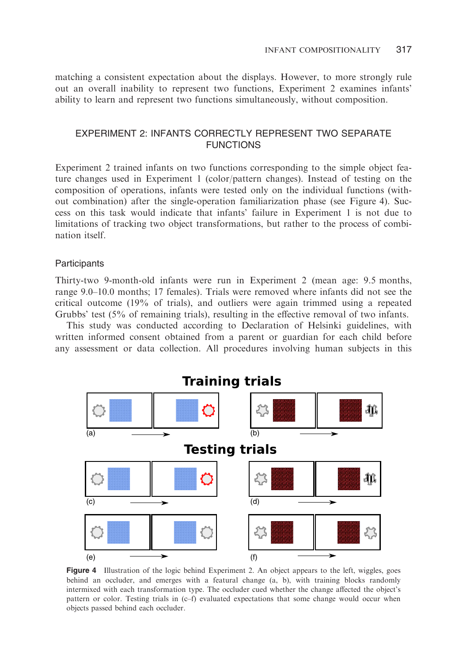matching a consistent expectation about the displays. However, to more strongly rule out an overall inability to represent two functions, Experiment 2 examines infants' ability to learn and represent two functions simultaneously, without composition.

# EXPERIMENT 2: INFANTS CORRECTLY REPRESENT TWO SEPARATE **FUNCTIONS**

Experiment 2 trained infants on two functions corresponding to the simple object feature changes used in Experiment 1 (color/pattern changes). Instead of testing on the composition of operations, infants were tested only on the individual functions (without combination) after the single-operation familiarization phase (see Figure 4). Success on this task would indicate that infants' failure in Experiment 1 is not due to limitations of tracking two object transformations, but rather to the process of combination itself.

# **Participants**

Thirty-two 9-month-old infants were run in Experiment 2 (mean age: 9.5 months, range 9.0–10.0 months; 17 females). Trials were removed where infants did not see the critical outcome (19% of trials), and outliers were again trimmed using a repeated Grubbs' test (5% of remaining trials), resulting in the effective removal of two infants.

This study was conducted according to Declaration of Helsinki guidelines, with written informed consent obtained from a parent or guardian for each child before any assessment or data collection. All procedures involving human subjects in this



Figure 4 Illustration of the logic behind Experiment 2. An object appears to the left, wiggles, goes behind an occluder, and emerges with a featural change (a, b), with training blocks randomly intermixed with each transformation type. The occluder cued whether the change affected the object's pattern or color. Testing trials in (c–f) evaluated expectations that some change would occur when objects passed behind each occluder.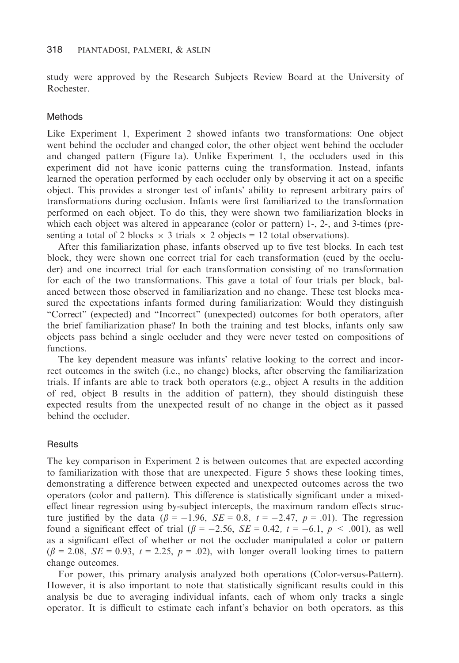study were approved by the Research Subjects Review Board at the University of Rochester.

#### Methods

Like Experiment 1, Experiment 2 showed infants two transformations: One object went behind the occluder and changed color, the other object went behind the occluder and changed pattern (Figure 1a). Unlike Experiment 1, the occluders used in this experiment did not have iconic patterns cuing the transformation. Instead, infants learned the operation performed by each occluder only by observing it act on a specific object. This provides a stronger test of infants' ability to represent arbitrary pairs of transformations during occlusion. Infants were first familiarized to the transformation performed on each object. To do this, they were shown two familiarization blocks in which each object was altered in appearance (color or pattern) 1-, 2-, and 3-times (presenting a total of 2 blocks  $\times$  3 trials  $\times$  2 objects = 12 total observations).

After this familiarization phase, infants observed up to five test blocks. In each test block, they were shown one correct trial for each transformation (cued by the occluder) and one incorrect trial for each transformation consisting of no transformation for each of the two transformations. This gave a total of four trials per block, balanced between those observed in familiarization and no change. These test blocks measured the expectations infants formed during familiarization: Would they distinguish "Correct" (expected) and "Incorrect" (unexpected) outcomes for both operators, after the brief familiarization phase? In both the training and test blocks, infants only saw objects pass behind a single occluder and they were never tested on compositions of functions.

The key dependent measure was infants' relative looking to the correct and incorrect outcomes in the switch (i.e., no change) blocks, after observing the familiarization trials. If infants are able to track both operators (e.g., object A results in the addition of red, object B results in the addition of pattern), they should distinguish these expected results from the unexpected result of no change in the object as it passed behind the occluder.

#### **Results**

The key comparison in Experiment 2 is between outcomes that are expected according to familiarization with those that are unexpected. Figure 5 shows these looking times, demonstrating a difference between expected and unexpected outcomes across the two operators (color and pattern). This difference is statistically significant under a mixedeffect linear regression using by-subject intercepts, the maximum random effects structure justified by the data  $(\beta = -1.96, \, SE = 0.8, \, t = -2.47, \, p = .01)$ . The regression found a significant effect of trial ( $\beta = -2.56$ ,  $SE = 0.42$ ,  $t = -6.1$ ,  $p < .001$ ), as well as a significant effect of whether or not the occluder manipulated a color or pattern  $(\beta = 2.08, \, SE = 0.93, t = 2.25, p = .02)$ , with longer overall looking times to pattern change outcomes.

For power, this primary analysis analyzed both operations (Color-versus-Pattern). However, it is also important to note that statistically significant results could in this analysis be due to averaging individual infants, each of whom only tracks a single operator. It is difficult to estimate each infant's behavior on both operators, as this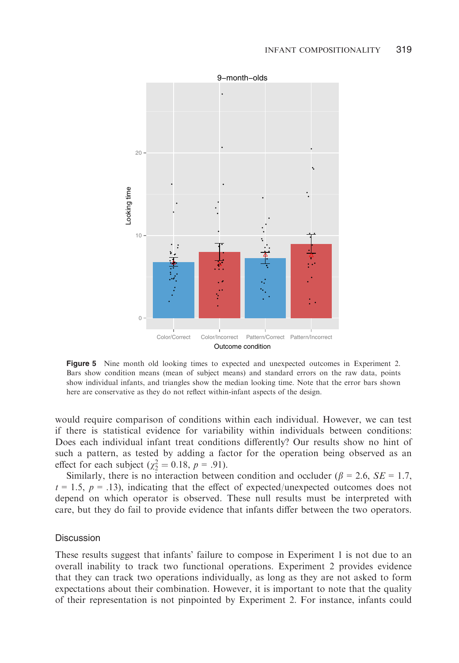

Figure 5 Nine month old looking times to expected and unexpected outcomes in Experiment 2. Bars show condition means (mean of subject means) and standard errors on the raw data, points show individual infants, and triangles show the median looking time. Note that the error bars shown here are conservative as they do not reflect within-infant aspects of the design.

would require comparison of conditions within each individual. However, we can test if there is statistical evidence for variability within individuals between conditions: Does each individual infant treat conditions differently? Our results show no hint of such a pattern, as tested by adding a factor for the operation being observed as an effect for each subject ( $\chi^2$  = 0.18, p = .91).

Similarly, there is no interaction between condition and occluder ( $\beta = 2.6$ ,  $SE = 1.7$ ,  $t = 1.5$ ,  $p = .13$ ), indicating that the effect of expected/unexpected outcomes does not depend on which operator is observed. These null results must be interpreted with care, but they do fail to provide evidence that infants differ between the two operators.

### **Discussion**

These results suggest that infants' failure to compose in Experiment 1 is not due to an overall inability to track two functional operations. Experiment 2 provides evidence that they can track two operations individually, as long as they are not asked to form expectations about their combination. However, it is important to note that the quality of their representation is not pinpointed by Experiment 2. For instance, infants could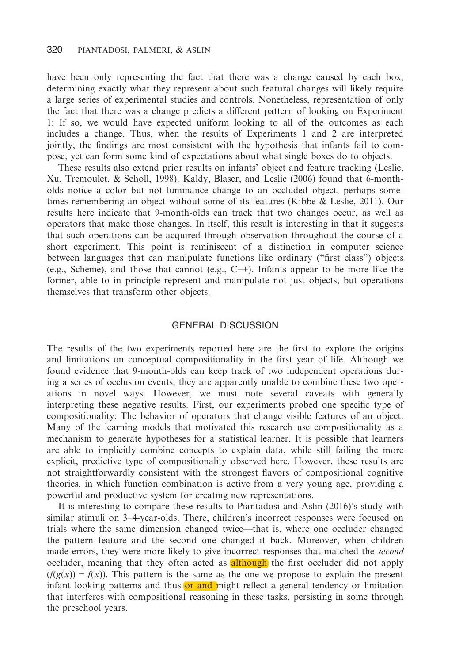have been only representing the fact that there was a change caused by each box; determining exactly what they represent about such featural changes will likely require a large series of experimental studies and controls. Nonetheless, representation of only the fact that there was a change predicts a different pattern of looking on Experiment 1: If so, we would have expected uniform looking to all of the outcomes as each includes a change. Thus, when the results of Experiments 1 and 2 are interpreted jointly, the findings are most consistent with the hypothesis that infants fail to compose, yet can form some kind of expectations about what single boxes do to objects.

These results also extend prior results on infants' object and feature tracking (Leslie, Xu, Tremoulet, & Scholl, 1998). Kaldy, Blaser, and Leslie (2006) found that 6-montholds notice a color but not luminance change to an occluded object, perhaps sometimes remembering an object without some of its features (Kibbe & Leslie, 2011). Our results here indicate that 9-month-olds can track that two changes occur, as well as operators that make those changes. In itself, this result is interesting in that it suggests that such operations can be acquired through observation throughout the course of a short experiment. This point is reminiscent of a distinction in computer science between languages that can manipulate functions like ordinary ("first class") objects (e.g., Scheme), and those that cannot (e.g., C++). Infants appear to be more like the former, able to in principle represent and manipulate not just objects, but operations themselves that transform other objects.

## GENERAL DISCUSSION

The results of the two experiments reported here are the first to explore the origins and limitations on conceptual compositionality in the first year of life. Although we found evidence that 9-month-olds can keep track of two independent operations during a series of occlusion events, they are apparently unable to combine these two operations in novel ways. However, we must note several caveats with generally interpreting these negative results. First, our experiments probed one specific type of compositionality: The behavior of operators that change visible features of an object. Many of the learning models that motivated this research use compositionality as a mechanism to generate hypotheses for a statistical learner. It is possible that learners are able to implicitly combine concepts to explain data, while still failing the more explicit, predictive type of compositionality observed here. However, these results are not straightforwardly consistent with the strongest flavors of compositional cognitive theories, in which function combination is active from a very young age, providing a powerful and productive system for creating new representations.

It is interesting to compare these results to Piantadosi and Aslin (2016)'s study with similar stimuli on 3–4-year-olds. There, children's incorrect responses were focused on trials where the same dimension changed twice—that is, where one occluder changed the pattern feature and the second one changed it back. Moreover, when children made errors, they were more likely to give incorrect responses that matched the *second* occluder, meaning that they often acted as **although** the first occluder did not apply  $(f(g(x)) = f(x))$ . This pattern is the same as the one we propose to explain the present infant looking patterns and thus or and might reflect a general tendency or limitation that interferes with compositional reasoning in these tasks, persisting in some through the preschool years.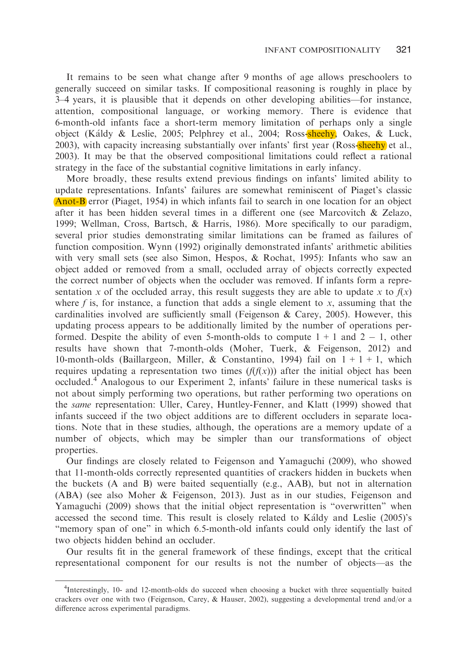It remains to be seen what change after 9 months of age allows preschoolers to generally succeed on similar tasks. If compositional reasoning is roughly in place by 3–4 years, it is plausible that it depends on other developing abilities—for instance, attention, compositional language, or working memory. There is evidence that 6-month-old infants face a short-term memory limitation of perhaps only a single object (Káldy & Leslie, 2005; Pelphrey et al., 2004; Ross-**sheehy**, Oakes, & Luck, 2003), with capacity increasing substantially over infants' first year (Ross-sheehy et al., 2003). It may be that the observed compositional limitations could reflect a rational strategy in the face of the substantial cognitive limitations in early infancy.

More broadly, these results extend previous findings on infants' limited ability to update representations. Infants' failures are somewhat reminiscent of Piaget's classic Anot-B error (Piaget, 1954) in which infants fail to search in one location for an object after it has been hidden several times in a different one (see Marcovitch  $\&$  Zelazo, 1999; Wellman, Cross, Bartsch, & Harris, 1986). More specifically to our paradigm, several prior studies demonstrating similar limitations can be framed as failures of function composition. Wynn (1992) originally demonstrated infants' arithmetic abilities with very small sets (see also Simon, Hespos, & Rochat, 1995): Infants who saw an object added or removed from a small, occluded array of objects correctly expected the correct number of objects when the occluder was removed. If infants form a representation x of the occluded array, this result suggests they are able to update x to  $f(x)$ where f is, for instance, a function that adds a single element to x, assuming that the cardinalities involved are sufficiently small (Feigenson  $\&$  Carey, 2005). However, this updating process appears to be additionally limited by the number of operations performed. Despite the ability of even 5-month-olds to compute  $1 + 1$  and  $2 - 1$ , other results have shown that 7-month-olds (Moher, Tuerk, & Feigenson, 2012) and 10-month-olds (Baillargeon, Miller, & Constantino, 1994) fail on  $1 + 1 + 1$ , which requires updating a representation two times  $(f(x))$  after the initial object has been occluded.4 Analogous to our Experiment 2, infants' failure in these numerical tasks is not about simply performing two operations, but rather performing two operations on the same representation: Uller, Carey, Huntley-Fenner, and Klatt (1999) showed that infants succeed if the two object additions are to different occluders in separate locations. Note that in these studies, although, the operations are a memory update of a number of objects, which may be simpler than our transformations of object properties.

Our findings are closely related to Feigenson and Yamaguchi (2009), who showed that 11-month-olds correctly represented quantities of crackers hidden in buckets when the buckets (A and B) were baited sequentially (e.g., AAB), but not in alternation (ABA) (see also Moher & Feigenson, 2013). Just as in our studies, Feigenson and Yamaguchi (2009) shows that the initial object representation is "overwritten" when accessed the second time. This result is closely related to Kaldy and Leslie (2005)'s "memory span of one" in which 6.5-month-old infants could only identify the last of two objects hidden behind an occluder.

Our results fit in the general framework of these findings, except that the critical representational component for our results is not the number of objects—as the

<sup>4</sup> Interestingly, 10- and 12-month-olds do succeed when choosing a bucket with three sequentially baited crackers over one with two (Feigenson, Carey, & Hauser, 2002), suggesting a developmental trend and/or a difference across experimental paradigms.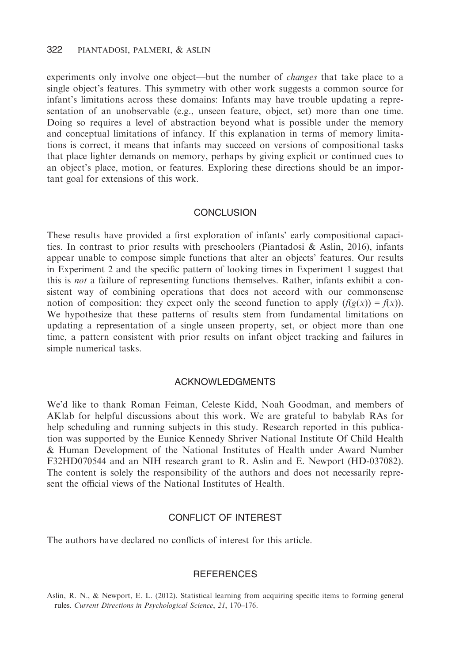experiments only involve one object—but the number of *changes* that take place to a single object's features. This symmetry with other work suggests a common source for infant's limitations across these domains: Infants may have trouble updating a representation of an unobservable (e.g., unseen feature, object, set) more than one time. Doing so requires a level of abstraction beyond what is possible under the memory and conceptual limitations of infancy. If this explanation in terms of memory limitations is correct, it means that infants may succeed on versions of compositional tasks that place lighter demands on memory, perhaps by giving explicit or continued cues to an object's place, motion, or features. Exploring these directions should be an important goal for extensions of this work.

# **CONCLUSION**

These results have provided a first exploration of infants' early compositional capacities. In contrast to prior results with preschoolers (Piantadosi & Aslin, 2016), infants appear unable to compose simple functions that alter an objects' features. Our results in Experiment 2 and the specific pattern of looking times in Experiment 1 suggest that this is not a failure of representing functions themselves. Rather, infants exhibit a consistent way of combining operations that does not accord with our commonsense notion of composition: they expect only the second function to apply  $(f(g(x))) = f(x)$ . We hypothesize that these patterns of results stem from fundamental limitations on updating a representation of a single unseen property, set, or object more than one time, a pattern consistent with prior results on infant object tracking and failures in simple numerical tasks.

#### ACKNOWLEDGMENTS

We'd like to thank Roman Feiman, Celeste Kidd, Noah Goodman, and members of AKlab for helpful discussions about this work. We are grateful to babylab RAs for help scheduling and running subjects in this study. Research reported in this publication was supported by the Eunice Kennedy Shriver National Institute Of Child Health & Human Development of the National Institutes of Health under Award Number F32HD070544 and an NIH research grant to R. Aslin and E. Newport (HD-037082). The content is solely the responsibility of the authors and does not necessarily represent the official views of the National Institutes of Health.

## CONFLICT OF INTEREST

The authors have declared no conflicts of interest for this article.

## **REFERENCES**

Aslin, R. N., & Newport, E. L. (2012). Statistical learning from acquiring specific items to forming general rules. Current Directions in Psychological Science, 21, 170–176.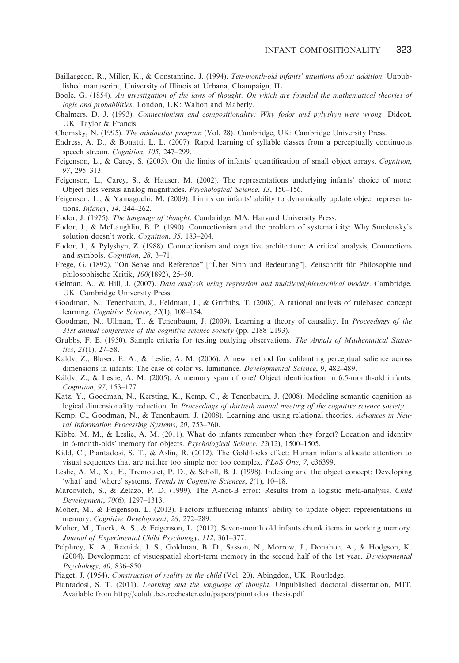- Baillargeon, R., Miller, K., & Constantino, J. (1994). Ten-month-old infants' intuitions about addition. Unpublished manuscript, University of Illinois at Urbana, Champaign, IL.
- Boole, G. (1854). An investigation of the laws of thought: On which are founded the mathematical theories of logic and probabilities. London, UK: Walton and Maberly.
- Chalmers, D. J. (1993). Connectionism and compositionality: Why fodor and pylyshyn were wrong. Didcot, UK: Taylor & Francis.
- Chomsky, N. (1995). The minimalist program (Vol. 28). Cambridge, UK: Cambridge University Press.
- Endress, A. D., & Bonatti, L. L. (2007). Rapid learning of syllable classes from a perceptually continuous speech stream. Cognition, 105, 247–299.
- Feigenson, L., & Carey, S. (2005). On the limits of infants' quantification of small object arrays. Cognition, 97, 295–313.
- Feigenson, L., Carey, S., & Hauser, M. (2002). The representations underlying infants' choice of more: Object files versus analog magnitudes. Psychological Science, 13, 150–156.
- Feigenson, L., & Yamaguchi, M. (2009). Limits on infants' ability to dynamically update object representations. Infancy, 14, 244–262.
- Fodor, J. (1975). The language of thought. Cambridge, MA: Harvard University Press.
- Fodor, J., & McLaughlin, B. P. (1990). Connectionism and the problem of systematicity: Why Smolensky's solution doesn't work. Cognition, 35, 183-204.
- Fodor, J., & Pylyshyn, Z. (1988). Connectionism and cognitive architecture: A critical analysis, Connections and symbols. Cognition, 28, 3–71.
- Frege, G. (1892). "On Sense and Reference" ["Über Sinn und Bedeutung"], Zeitschrift für Philosophie und philosophische Kritik, 100(1892), 25–50.
- Gelman, A., & Hill, J. (2007). Data analysis using regression and multilevel/hierarchical models. Cambridge, UK: Cambridge University Press.
- Goodman, N., Tenenbaum, J., Feldman, J., & Griffiths, T. (2008). A rational analysis of rulebased concept learning. Cognitive Science, 32(1), 108-154.
- Goodman, N., Ullman, T., & Tenenbaum, J. (2009). Learning a theory of causality. In Proceedings of the 31st annual conference of the cognitive science society (pp. 2188–2193).
- Grubbs, F. E. (1950). Sample criteria for testing outlying observations. The Annals of Mathematical Statistics, 21(1), 27–58.
- Kaldy, Z., Blaser, E. A., & Leslie, A. M. (2006). A new method for calibrating perceptual salience across dimensions in infants: The case of color vs. luminance. *Developmental Science*, 9, 482–489.
- Kaldy, Z., & Leslie, A. M. (2005). A memory span of one? Object identification in 6.5-month-old infants. Cognition, 97, 153–177.
- Katz, Y., Goodman, N., Kersting, K., Kemp, C., & Tenenbaum, J. (2008). Modeling semantic cognition as logical dimensionality reduction. In Proceedings of thirtieth annual meeting of the cognitive science society.
- Kemp, C., Goodman, N., & Tenenbaum, J. (2008). Learning and using relational theories. Advances in Neural Information Processing Systems, 20, 753–760.
- Kibbe, M. M., & Leslie, A. M. (2011). What do infants remember when they forget? Location and identity in 6-month-olds' memory for objects. Psychological Science, 22(12), 1500–1505.
- Kidd, C., Piantadosi, S. T., & Aslin, R. (2012). The Goldilocks effect: Human infants allocate attention to visual sequences that are neither too simple nor too complex. PLoS One, 7, e36399.
- Leslie, A. M., Xu, F., Tremoulet, P. D., & Scholl, B. J. (1998). Indexing and the object concept: Developing 'what' and 'where' systems. Trends in Cognitive Sciences, 2(1), 10–18.
- Marcovitch, S., & Zelazo, P. D. (1999). The A-not-B error: Results from a logistic meta-analysis. Child Development, 70(6), 1297–1313.
- Moher, M., & Feigenson, L. (2013). Factors influencing infants' ability to update object representations in memory. Cognitive Development, 28, 272-289.
- Moher, M., Tuerk, A. S., & Feigenson, L. (2012). Seven-month old infants chunk items in working memory. Journal of Experimental Child Psychology, 112, 361–377.
- Pelphrey, K. A., Reznick, J. S., Goldman, B. D., Sasson, N., Morrow, J., Donahoe, A., & Hodgson, K. (2004). Development of visuospatial short-term memory in the second half of the 1st year. Developmental Psychology, 40, 836–850.

Piaget, J. (1954). Construction of reality in the child (Vol. 20). Abingdon, UK: Routledge.

Piantadosi, S. T. (2011). Learning and the language of thought. Unpublished doctoral dissertation, MIT. Available from<http://colala.bcs.rochester.edu/papers/piantadosi thesis.pdf>